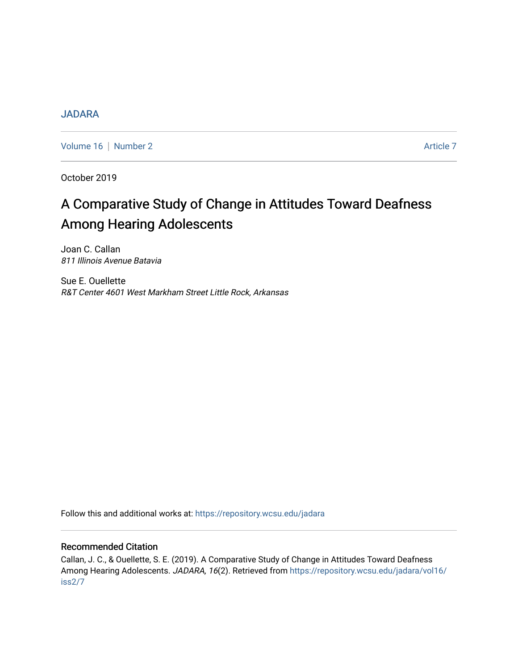# [JADARA](https://repository.wcsu.edu/jadara)

[Volume 16](https://repository.wcsu.edu/jadara/vol16) | [Number 2](https://repository.wcsu.edu/jadara/vol16/iss2) Article 7

October 2019

# A Comparative Study of Change in Attitudes Toward Deafness Among Hearing Adolescents

Joan C. Callan 811 Illinois Avenue Batavia

Sue E. Ouellette R&T Center 4601 West Markham Street Little Rock, Arkansas

Follow this and additional works at: [https://repository.wcsu.edu/jadara](https://repository.wcsu.edu/jadara?utm_source=repository.wcsu.edu%2Fjadara%2Fvol16%2Fiss2%2F7&utm_medium=PDF&utm_campaign=PDFCoverPages)

## Recommended Citation

Callan, J. C., & Ouellette, S. E. (2019). A Comparative Study of Change in Attitudes Toward Deafness Among Hearing Adolescents. JADARA, 16(2). Retrieved from [https://repository.wcsu.edu/jadara/vol16/](https://repository.wcsu.edu/jadara/vol16/iss2/7?utm_source=repository.wcsu.edu%2Fjadara%2Fvol16%2Fiss2%2F7&utm_medium=PDF&utm_campaign=PDFCoverPages) [iss2/7](https://repository.wcsu.edu/jadara/vol16/iss2/7?utm_source=repository.wcsu.edu%2Fjadara%2Fvol16%2Fiss2%2F7&utm_medium=PDF&utm_campaign=PDFCoverPages)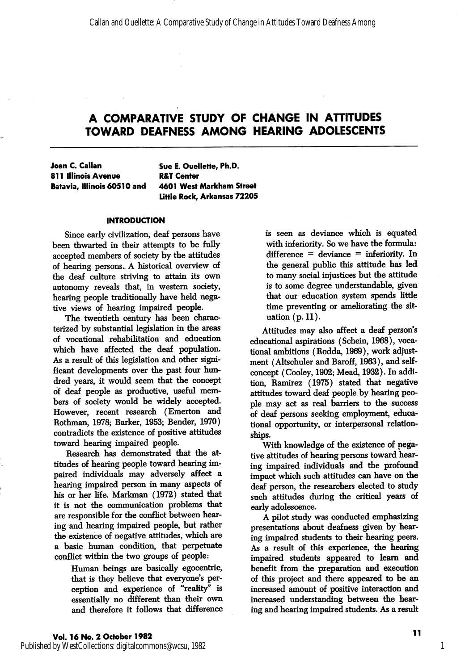Joan C. Callan 811 Illinois Avenue Batavia, Illinois 60510 and Sue E. Oueilette, Ph.D. R&T Center 4601 West Markham Street Little Rock, Arkansas 72205

#### **INTRODUCTION**

Since early civilization, deaf persons have been thwarted in their attempts to be fully accepted members of society by the attitudes of hearing persons- A historical overview of the deaf culture striving to attain its own autonomy reveals that, in western society, hearing people traditionally have held nega tive views of hearing impaired people.

The twentieth century has been characterized by substantial legislation in the areas of vocational rehabilitation and education which have affected the deaf population. As a result of this legislation and other signi ficant developments over the past four hun dred years, it would seem that the concept of deaf people as productive, useful mem bers of society would be widely accepted. However, recent research (Emerton and Rothman, 1978; Barker, 1953; Bender, 1970) contradicts the existence of positive attitudes toward hearing impaired people.

Research has demonstrated that the at titudes of hearing people toward hearing im paired individuals may adversely affect a hearing impaired person in many aspects of his or her life. Markman (1972) stated that it is not the communication problems that are responsible for the conflict between hear ing and hearing impaired people, but rather the existence of negative attitudes, which are a basic human condition, that perpetuate conflict within the two groups of people:

> Human beings are basically egocentric, that is they believe that everyone's per ception and experience of "reality" is essentially no different than their own and therefore it follows that difference

is seen as deviance which is equated with inferiority. So we have the formula: difference = deviance = inferiority. In the general public this attitude has led to many social injustices but the attitude is to some degree understandable, given that our education system spends little time preventing or ameliorating the sit uation (p. 11).

Attitudes may also affect a deaf person's educational aspirations (Schein, 1968), voca tional ambitions (Rodda, 1969), work adjust ment (Altschuler and Baroff, 1963), and selfconcept (Cooley, 1902; Mead, 1932). In addi tion, Ramirez (1975) stated that negative attitudes toward deaf people by hearing peo ple may act as real barriers to the success of deaf persons seeking employment, educa tional opportunity, or interpersonal relationships.

With knowledge of the existence of nega tive altitudes of hearing persons toward hear ing impaired individuals and the profound impact which such attitudes can have on the deaf person, the researchers elected to study such attitudes during the critical years of early adolescence.

A pilot study was conducted emphasizing presentations about deafness given by hear ing impaired students to their hearing peers. As a result of this experience, the hearing impaired students appeared to learn and benefit from the preparation and execution of this project and there appeared to be an increased amount of positive interaction and increased understanding between the hear ing and hearing impaired students. As a result

1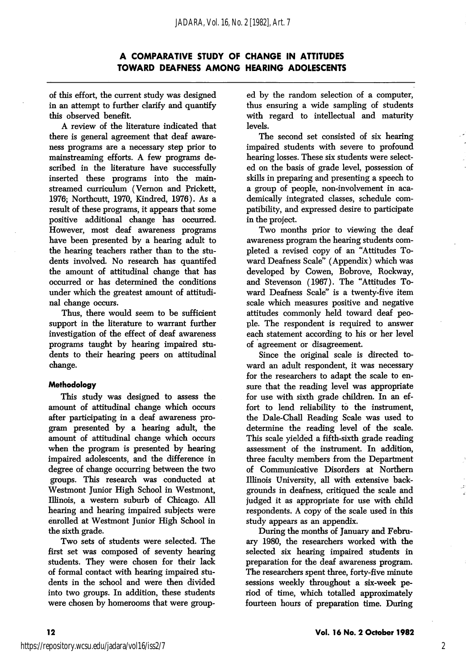of this effort, the current study was designed in an attempt to fiuther clarify and quantify this observed benefit.

A review of the literature indicated that there is general agreement that deaf aware ness programs are a necessary step prior to mainstreaming efforts. A few programs de scribed in the literature have successfully inserted these programs into the mainstreamed curriculum (Vemon and Prickett, 1976; Northcutt, 1970, Kindred, 1976). As a result of these programs, it appears that some positive additional change has occurred. However, most deaf awareness programs have been presented by a hearing adult to the hearing teachers rather than to the stu dents involved. No research has quantifed the amount of attitudinal change that has occurred or has determined the conditions under which the greatest amount of attitudi nal change occurs.

Thus, there would seem to be sufficient support in the literature to warrant further investigation of the effect of deaf awareness programs taught by hearing impaired stu dents to their hearing peers on attitudinal change.

#### **Methodology**

This study was designed to assess the amount of attitudinal change which occurs after participating in a deaf awareness pro gram presented by a hearing adult, the amount of attitudinal change which occurs when the program is presented by hearing impaired adolescents, and the difference in degree of change occurring between the two groups. This research was conducted at Westmont Junior High School in Westmont, Illinois, a western suburb of Chicago. All hearing and hearing impaired subjects were enrolled at Westmont Junior High School in the sixth grade.

Two sets of students were selected. The first set was composed of seventy hearing students. They were chosen for their lack of formal contact with hearing impaired stu dents in the school and were then divided into two groups. In addition, these students were chosen by homerooms that were group

ed by the random selection of a computer, thus ensuring a wide sampling of students with regard to intellectual and maturity levels.

The second set consisted of six hearing impaired students with severe to profound hearing losses. These six students were select ed on the basis of grade level, possession of skills in preparing and presenting a speech to a group of people, non-involvement in aca demically integrated classes, schedule com patibility, and expressed desire to participate in the project.

Two months prior to viewing the deaf awareness program the hearing students com pleted a revised copy of an "Attitudes To ward Deafness Scale" (Appendix) which was developed by Cowen, Bobrove, Rockway, and Stevenson (1967). The "Attitudes To ward Deafness Scale" is a twenty-five item scale which measures positive and negative attitudes commonly held toward deaf peo ple. The respondent is required to answer each statement according to his or her level of agreement or disagreement.

Since the original scale is directed to ward an adult respondent, it was necessary for the researchers to adapt the scale to en sure that the reading level was appropriate for use with sixth grade children. In an ef fort to lend reliability to the instrument, the Dale-Chall Reading Scale was used to determine the reading level of the scale. This scale yielded a fifth-sixth grade reading assessment of the instrument. In addition, three faculty members from the Department of Communicative Disorders at Northern Illinois University, all with extensive back grounds in deafness, critiqued the scale and judged it as appropriate for use with child respondents. A copy of the scale used in this study appears as an appendix.

During the months of January and Febru ary 1980, the researchers worked with the selected six hearing impaired students in preparation for the deaf awareness program. The researchers spent three, forty-five minute sessions weekly throughout a six-week pe riod of time, which totalled approximately fourteen hours of preparation time. During

2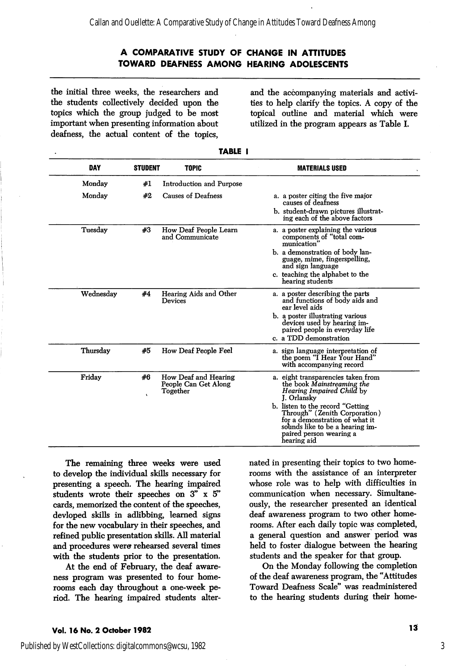the initial three weeks, the researchers and the students collectively decided upon the topics which the group judged to be most important when presenting information about deafness, the actual content of the topics.

and the accompanying materials and activi ties to help clarify the topics. A copy of the topical outline and material which were utilized in the program appears as Table L

| <b>DAY</b> | <b>STUDENT</b>  | <b>TOPIC</b>                                             | <b>MATERIALS USED</b>                                                                                                                                                                                                                                                                            |
|------------|-----------------|----------------------------------------------------------|--------------------------------------------------------------------------------------------------------------------------------------------------------------------------------------------------------------------------------------------------------------------------------------------------|
| Monday     | #1              | Introduction and Purpose                                 |                                                                                                                                                                                                                                                                                                  |
| Monday     | #2              | Causes of Deafness                                       | a. a poster citing the five major<br>causes of deafness<br>b. student-drawn pictures illustrat-<br>ing each of the above factors                                                                                                                                                                 |
| Tuesday    | #3              | How Deaf People Learn<br>and Communicate                 | a. a poster explaining the various<br>components of "total com-<br>munication'<br>b. a demonstration of body lan-<br>guage, mime, fingerspelling,<br>and sign language<br>c. teaching the alphabet to the<br>hearing students                                                                    |
| Wednesdav  | #4              | Hearing Aids and Other<br>Devices                        | a. a poster describing the parts<br>and functions of body aids and<br>ear level aids<br>b. a poster illustrating various<br>devices used by hearing im-<br>paired people in everyday life<br>c. a TDD demonstration                                                                              |
| Thursday   | #5              | How Deaf People Feel                                     | a. sign language interpretation of<br>the poem "I Hear Your Hand"<br>with accompanying record                                                                                                                                                                                                    |
| Friday     | #6<br>$\lambda$ | How Deaf and Hearing<br>People Can Get Along<br>Together | a. eight transparencies taken from<br>the book Mainstreaming the<br>Hearing Impaired Child by<br>J. Orlansky<br>b. listen to the record "Getting<br>Through" (Zenith Corporation)<br>for a demonstration of what it<br>sounds like to be a hearing im-<br>paired person wearing a<br>hearing aid |

| ٠<br>- |
|--------|
|--------|

The remaining three weeks were used to develop the individual skills necessary for presenting a speech. The hearing impaired students wrote their speeches on 3" x 5" cards, memorized the content of the speeches, devloped skills in adlibbing, learned signs for the new vocabulary in their speeches, and refined public presentation skills. All material and procedures were rehearsed several times with the students prior to the presentation.

At the end of February, the deaf aware ness program was presented to four home rooms each day throughout a one-week pe riod. The hearing impaired students alter nated in presenting their topics to two home rooms with the assistance of an interpreter whose role was to help with difficulties in communication when necessary. Simultane ously, the researcher presented an identical deaf awareness program to two other home rooms. After each daily topic was completed, a general question and answer period was held to foster dialogue between the hearing students and the speaker for that group.

On the Monday following the completion of the deaf awareness program, the "Attitudes Toward Deafness Scale" was readministered to the hearing students during their home-

## Vol. 16 No. 2 October 1982 13 No. 2 October 1982 13

3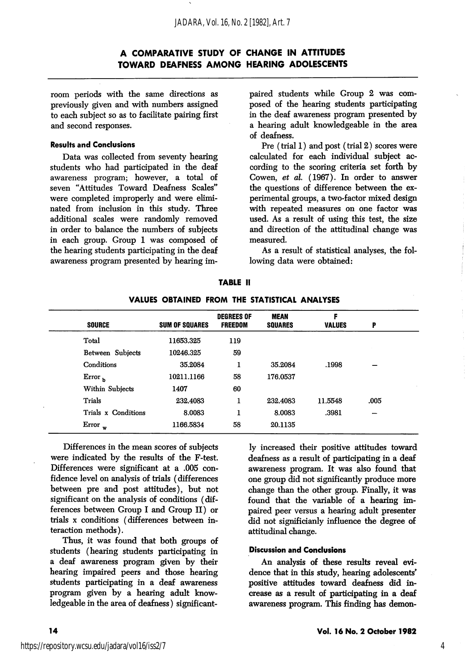room periods with the same directions as previously given and with numbers assigned to each subject so as to facilitate pairing first and second responses.

#### Results and Conclusions

Data was collected from seventy hearing students who had participated in the deaf awareness program; however, a total of seven "Attitudes Toward Deafness Scales" were completed improperly and were elimi nated from inclusion in this study. Three additional scales were randomly removed in order to balance the numbers of subjects in each group. Group 1 was composed of the hearing students participating in the deaf awareness program presented by hearing im

paired students while Group 2 was com posed of the hearing students participating in the deaf awareness program presented by a hearing adult knowledgeable in the area of deafness.

Pre (trial 1) and post (trial 2) scores were calculated for each individual subject ac cording to the scoring criteria set forth by Gowen, et al. (1967). In order to answer the questions of difference between the ex perimental groups, a two-factor mixed design with repeated measures on one factor was used. As a result of using this test, the size and direction of the attitudinal change was measured.

As a result of statistical analyses, the fol lowing data were obtained;

|                     |                       | <b>DEGREES OF</b> | <b>MEAN</b>    | F             |      |
|---------------------|-----------------------|-------------------|----------------|---------------|------|
| <b>SOURCE</b>       | <b>SUM OF SQUARES</b> | <b>FREEDOM</b>    | <b>SQUARES</b> | <b>VALUES</b> | P    |
| Total               | 11653.325             | 119               |                |               |      |
| Between Subjects    | 10246.325             | 59                |                |               |      |
| Conditions          | 35.2084               | 1                 | 35.2084        | .1998         |      |
| Error <sub>b</sub>  | 10211.1166            | 58                | 176.0537       |               |      |
| Within Subjects     | 1407                  | 60                |                |               |      |
| Trials              | 232.4083              | 1                 | 232.4083       | 11.5548       | .005 |
| Trials x Conditions | 8.0083                | I                 | 8.0083         | .3981         |      |
| Error<br>w          | 1166.5834             | 58                | 20.1135        |               |      |

## TABLE II VALUES OBTAINED FROM THE STATISTICAL ANALYSES

Differences in the mean scores of subjects were indicated by the results of the F-test. Differences were significant at a .005 con fidence level on analysis of trials (differences between pre and post attitudes), but not significant on the analysis of conditions (dif ferences between Group I and Group II) or trials X conditions (differences between in teraction methods).

Thus, it was found that both groups of students (hearing students participating in a deaf awareness program given by their hearing impaired peers and those hearing students participating in a deaf awareness program given by a hearing adult know ledgeable in the area of deafness) significant

ly increased their positive attitudes toward deafness as a result of participating in a deaf awareness program. It was also found that one group did not significantly produce more change than the other group. Finally, it was found that the variable of a hearing im paired peer versus a hearing adult presenter did not significianly influence the degree of attitudinal change.

#### Discussion and Conclusions

An analysis of these results reveal evi dence that in this study, hearing adolescents' positive attitudes toward deafness did in crease as a result of participating in a deaf awareness program. This finding has demon-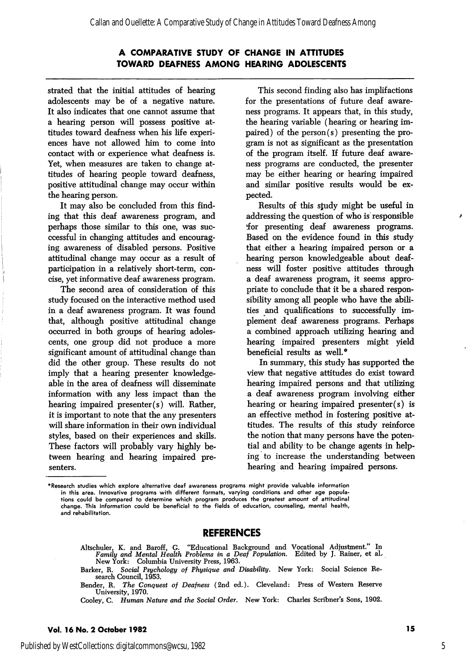strated that the initial attitudes of hearing adolescents may be of a negative nature. It also indicates that one cannot assume that a hearing person will possess positive at titudes toward deafness when his life experi ences have not allowed him to come into contact with or experience what deafness is. Yet, when measures are taken to change at titudes of hearing people toward deafness, positive attitudinal change may occur within the hearing person.

It may also be concluded from this find ing that this deaf awareness program, and perhaps those similar to this one, was succcessful in changing attitudes and encourag ing awareness of disabled persons. Positive attitudinal change may occur as a result of participation in a relatively short-term, con cise, yet informative deaf awareness program.

The second area of consideration of this study focused on the interactive method used in a deaf awareness program. It was found that, although positive attitudinal change occurred in both groups of hearing adoles cents, one group did not produce a more significant amount of attitudinal change than did the other group. These results do not imply that a hearing presenter knowledge able in the area of deafness will disseminate information with any less impact than the hearing impaired presenter(s) will. Rather, it is important to note that the any presenters will share information in their own individual styles, based on their experiences and skills. These factors will probably vary highly be tween hearing and hearing impaired pre senters.

This second finding also has implifactions for the presentations of future deaf aware ness programs. It appears that, in this study, the hearing variable (hearing or hearing im paired) of the person(s) presenting the pro gram is not as significant as the presentation of the program itself. If future deaf aware ness programs are conducted, the presenter may be either hearing or hearing impaired and similar positive results would be ex pected.

Results of this sjudy might be useful in addressing the question of who is responsible tfor presenting deaf awareness programs. Based on the evidence found in this study that either a hearing impaired person or a hearing person knowledgeable about deaf ness will foster positive attitudes through a deaf awareness program, it seems appro priate to conclude that it be a shared respon sibility among all people who have the abili ties and qualifications to successfully im plement deaf awareness programs. Perhaps a combined approach utilizing hearing and hearing impaired presenters might yield beneficial results as well.\*

In summary, this study has supported the view that negative attitudes do exist toward hearing impaired persons and that utilizing a deaf awareness program involving either hearing or hearing impaired presenter(s) is an effective method in fostering positive at titudes. The results of this study reinforce the notion that many persons have the poten tial and ability to be change agents in help ing to increase the understanding between hearing and hearing impaired persons.

## REFERENCES

Altschuler, K. and Baroff, G. "Educational Background and Vocational Adjustment." In Family and Mental Health Problems in a Deaf Population. Edited by J. Rainer, et al. Family and Mental Health Problems in a Deaf Population. Edited by J. Rainer, et aL New York: Columbia University Press, 1963.

<sup>\*</sup>Research studies which explore alternative deaf awareness programs might provide valuable information in this area. Innovative programs with different formats, varying conditions and other age popula tions could be compared to determine which program produces the greatest amount of attitudinal change. This information could be beneficial to the fields of education, counseling, mental health, and rehabilitation.

Barker, R. Social Psychology of Physique and Disability. New York: Social Science Re search Council, 1953.

Bender, R. The Conquest of Deafness (2nd ed.). Cleveland: Press of Western Reserve University, 1970.

Cooley, C. Human Nature and the Social Order. New York: Charles Scribner's Sons, 1902.